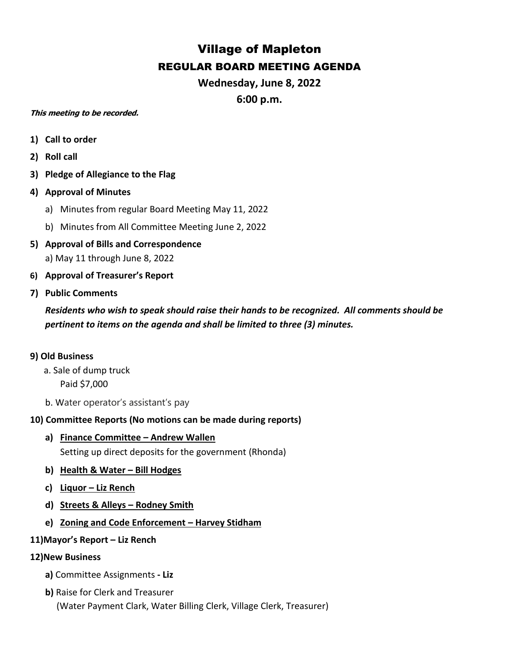# Village of Mapleton REGULAR BOARD MEETING AGENDA

**Wednesday, June 8, 2022**

**6:00 p.m.**

## **This meeting to be recorded.**

- **1) Call to order**
- **2) Roll call**
- **3) Pledge of Allegiance to the Flag**
- **4) Approval of Minutes**
	- a) Minutes from regular Board Meeting May 11, 2022
	- b) Minutes from All Committee Meeting June 2, 2022
- **5) Approval of Bills and Correspondence** a) May 11 through June 8, 2022
- **6) Approval of Treasurer's Report**
- **7) Public Comments**

*Residents who wish to speak should raise their hands to be recognized. All comments should be pertinent to items on the agenda and shall be limited to three (3) minutes.*

## **9) Old Business**

- a. Sale of dump truck Paid \$7,000
- b. Water operator's assistant's pay

# **10) Committee Reports (No motions can be made during reports)**

**a) Finance Committee – Andrew Wallen**

Setting up direct deposits for the government (Rhonda)

- **b) Health & Water – Bill Hodges**
- **c) Liquor – Liz Rench**
- **d) Streets & Alleys – Rodney Smith**
- **e) Zoning and Code Enforcement – Harvey Stidham**
- **11)Mayor's Report – Liz Rench**

## **12)New Business**

- **a)** Committee Assignments **- Liz**
- **b)** Raise for Clerk and Treasurer (Water Payment Clark, Water Billing Clerk, Village Clerk, Treasurer)